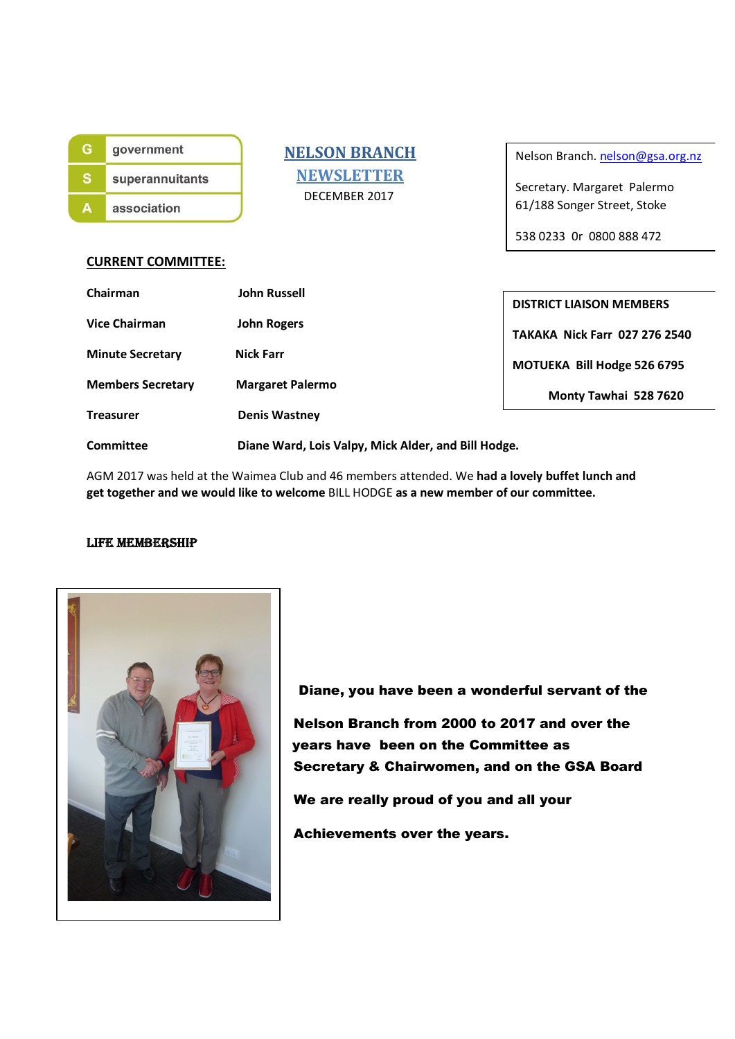| government      |
|-----------------|
| superannuitants |
| association     |

 NELSON BRANCH **NEWSLETTER** DECEMBER 2017

Nelson Branch. nelson@gsa.org.nz

Secretary. Margaret Palermo 61/188 Songer Street, Stoke

538 0233 0r 0800 888 472

#### CURRENT COMMITTEE:

| Chairman                 | <b>John Russell</b>                                 | <b>DISTRICT LIAISON MEMBERS</b>      |  |
|--------------------------|-----------------------------------------------------|--------------------------------------|--|
| <b>Vice Chairman</b>     | <b>John Rogers</b>                                  | <b>TAKAKA Nick Farr 027 276 2540</b> |  |
| <b>Minute Secretary</b>  | <b>Nick Farr</b>                                    | MOTUEKA Bill Hodge 526 6795          |  |
| <b>Members Secretary</b> | <b>Margaret Palermo</b>                             | Monty Tawhai 528 7620                |  |
| <b>Treasurer</b>         | <b>Denis Wastney</b>                                |                                      |  |
| Committee                | Diane Ward, Lois Valpy, Mick Alder, and Bill Hodge. |                                      |  |

AGM 2017 was held at the Waimea Club and 46 members attended. We had a lovely buffet lunch and get together and we would like to welcome BILL HODGE as a new member of our committee.

#### LIFE MEMBERSHIP



 Diane, you have been a wonderful servant of the Nelson Branch from 2000 to 2017 and over the years have been on the Committee as Secretary & Chairwomen, and on the GSA Board We are really proud of you and all your Achievements over the years.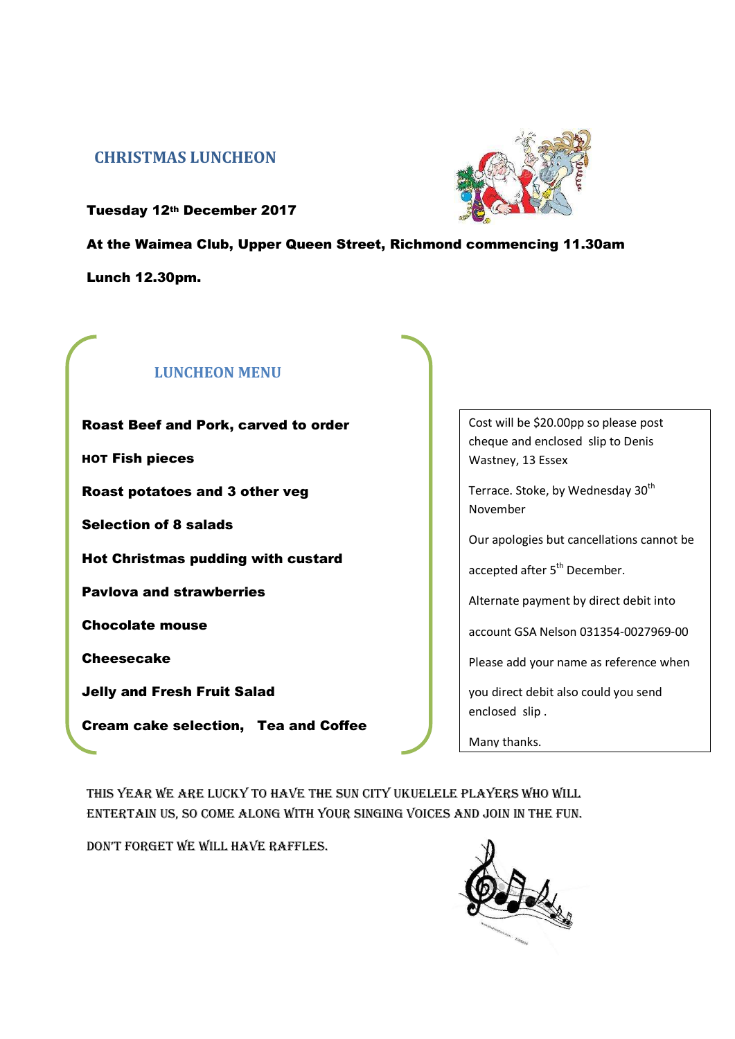## CHRISTMAS LUNCHEON



Tuesday 12th December 2017

At the Waimea Club, Upper Queen Street, Richmond commencing 11.30am Lunch 12.30pm.

# LUNCHEON MENU

Roast Beef and Pork, carved to order HOT Fish pieces Roast potatoes and 3 other veg Selection of 8 salads Hot Christmas pudding with custard Pavlova and strawberries Chocolate mouse **Cheesecake** Jelly and Fresh Fruit Salad Cream cake selection, Tea and Coffee | cheque and enclosed slip to Denis Cost will be \$20.00pp so please post Wastney, 13 Essex

Terrace. Stoke, by Wednesday 30<sup>th</sup> November

Our apologies but cancellations cannot be

accepted after 5<sup>th</sup> December.

Alternate payment by direct debit into

account GSA Nelson 031354-0027969-00

Please add your name as reference when

you direct debit also could you send enclosed slip .

Many thanks.

THIS YEAR WE ARE LUCKY TO HAVE THE SUn CITY UKUELELE PLAYERS WHO WILL EnTERTAIn US, SO COME ALOng WITH YOUR SIngIng VOICES And jOIn In THE FUn.

DON'T FORGET WE WILL HAVE RAFFLES.

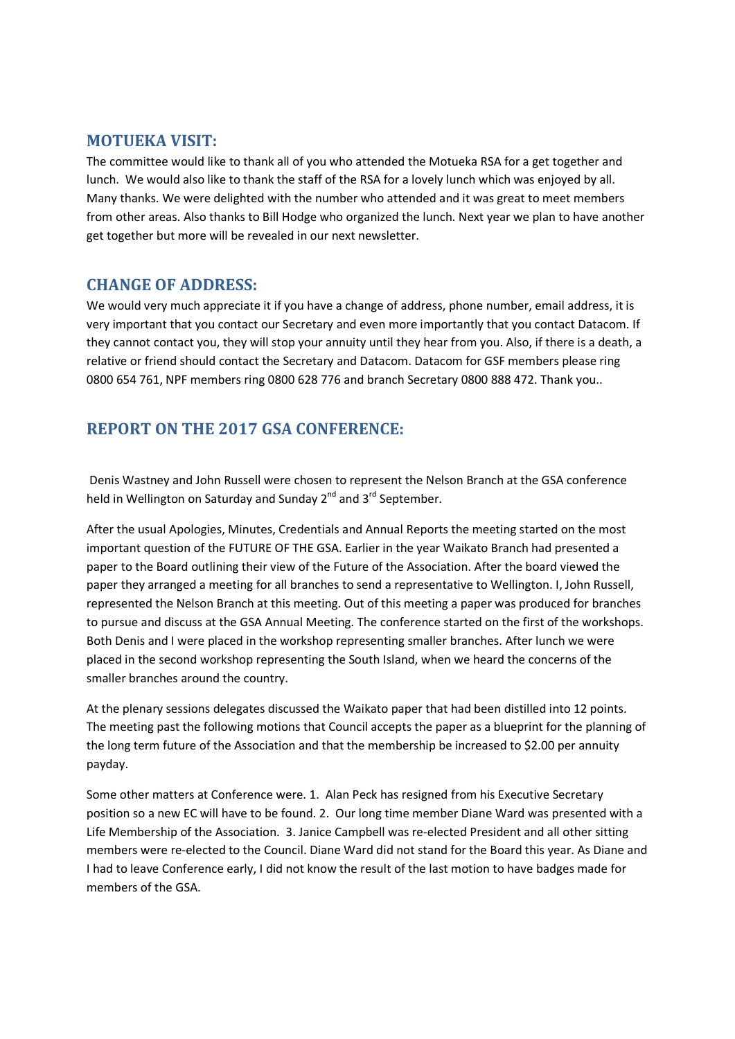### MOTUEKA VISIT:

The committee would like to thank all of you who attended the Motueka RSA for a get together and lunch. We would also like to thank the staff of the RSA for a lovely lunch which was enjoyed by all. Many thanks. We were delighted with the number who attended and it was great to meet members from other areas. Also thanks to Bill Hodge who organized the lunch. Next year we plan to have another get together but more will be revealed in our next newsletter.

### CHANGE OF ADDRESS:

We would very much appreciate it if you have a change of address, phone number, email address, it is very important that you contact our Secretary and even more importantly that you contact Datacom. If they cannot contact you, they will stop your annuity until they hear from you. Also, if there is a death, a relative or friend should contact the Secretary and Datacom. Datacom for GSF members please ring 0800 654 761, NPF members ring 0800 628 776 and branch Secretary 0800 888 472. Thank you..

# REPORT ON THE 2017 GSA CONFERENCE:

 Denis Wastney and John Russell were chosen to represent the Nelson Branch at the GSA conference held in Wellington on Saturday and Sunday 2<sup>nd</sup> and 3<sup>rd</sup> September.

After the usual Apologies, Minutes, Credentials and Annual Reports the meeting started on the most important question of the FUTURE OF THE GSA. Earlier in the year Waikato Branch had presented a paper to the Board outlining their view of the Future of the Association. After the board viewed the paper they arranged a meeting for all branches to send a representative to Wellington. I, John Russell, represented the Nelson Branch at this meeting. Out of this meeting a paper was produced for branches to pursue and discuss at the GSA Annual Meeting. The conference started on the first of the workshops. Both Denis and I were placed in the workshop representing smaller branches. After lunch we were placed in the second workshop representing the South Island, when we heard the concerns of the smaller branches around the country.

At the plenary sessions delegates discussed the Waikato paper that had been distilled into 12 points. The meeting past the following motions that Council accepts the paper as a blueprint for the planning of the long term future of the Association and that the membership be increased to \$2.00 per annuity payday.

Some other matters at Conference were. 1. Alan Peck has resigned from his Executive Secretary position so a new EC will have to be found. 2. Our long time member Diane Ward was presented with a Life Membership of the Association. 3. Janice Campbell was re-elected President and all other sitting members were re-elected to the Council. Diane Ward did not stand for the Board this year. As Diane and I had to leave Conference early, I did not know the result of the last motion to have badges made for members of the GSA.